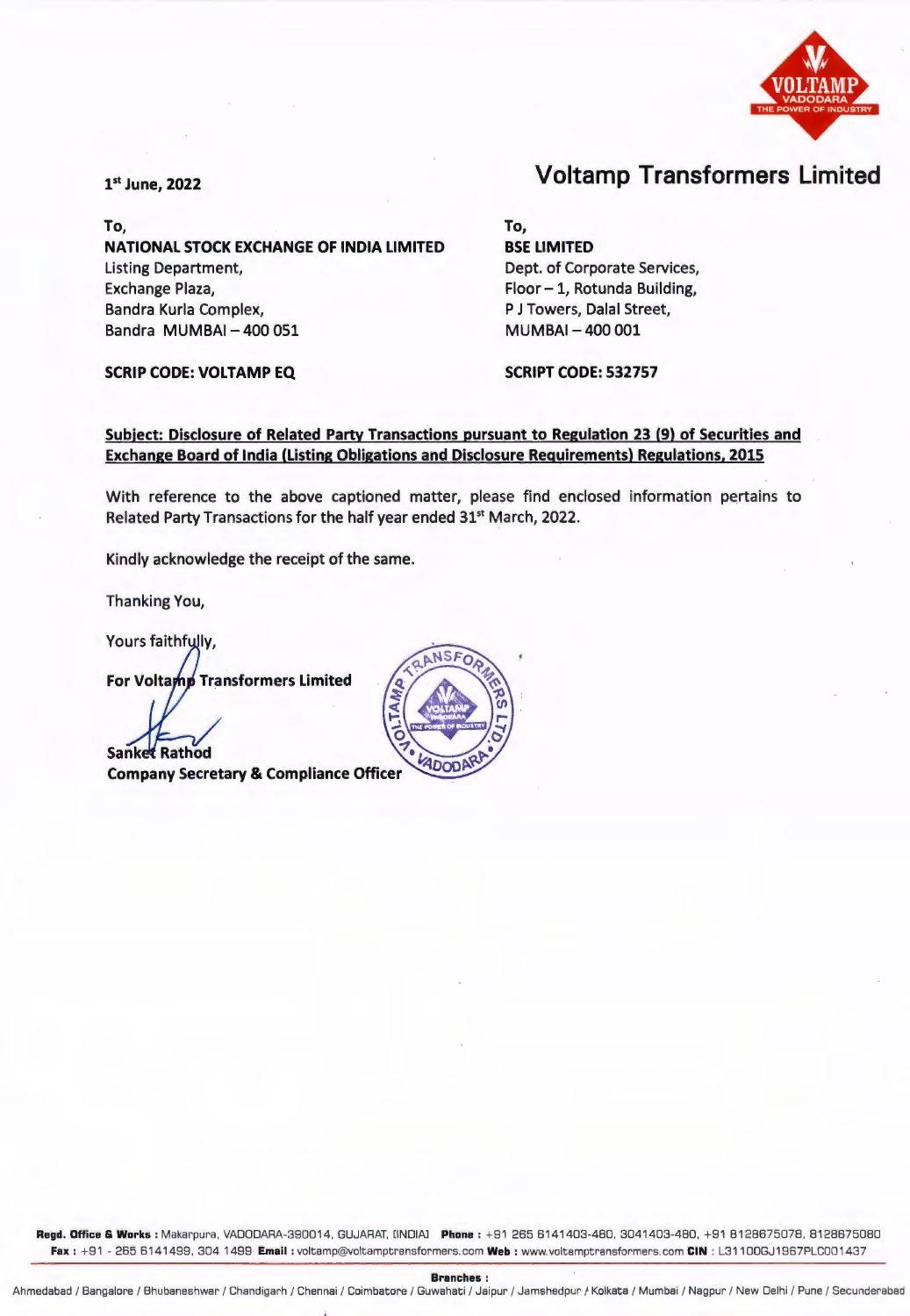

To, **To, NATIONAL STOCK EXCHANGE OF INDIA LIMITED**  Listing Department, Exchange Plaza, Bandra Kurla Complex, Bandra MUMBAI - 400 051

**SCRIP CODE: VOLTAMP EQ SCRIPT CODE: 532757** 

## <sup>1</sup>st June, **2022** Voltamp Transformers Limited

P J Towers, Dalal Street, MUMBAI - 400 001

**BSE LIMITED** 

Dept. of Corporate Services, Floor - 1, Rotunda Building,

## **Subject: Disclosure of Related Party Transactions pursuant to Regulation 23 (9) of Securities and Exchange Board of India (Listing Obligations and Disclosure Requirements) Regulations, 2015**

With reference to the above captioned matter, please find enclosed information pertains to Related Party Transactions for the half year ended 31<sup>st</sup> March, 2022.

Kindly acknowledge the receipt of the same.

Thanking You,

Yours faithfully,

**For Voltamp Transformers Limited** 

**Sanket Rathod** 

**Company Secretary & Compliance Officer** 



**Regd. Office** & **Works** : Makarpura, VADDDARA-390014, GUJARAT. [INDIAJ **Phone** : + 91 265 6141403-480 . 3041403-480, + 91 8128675078, 8128675080 **Fax :** <sup>+</sup> 91 - 265 6141499, 304 1499 **Email** : voltamp@voltamptransformers.com **Web** : www.voltamptransformers.com **CIN** : L31100GJ1967PLC001437

**Branches** :